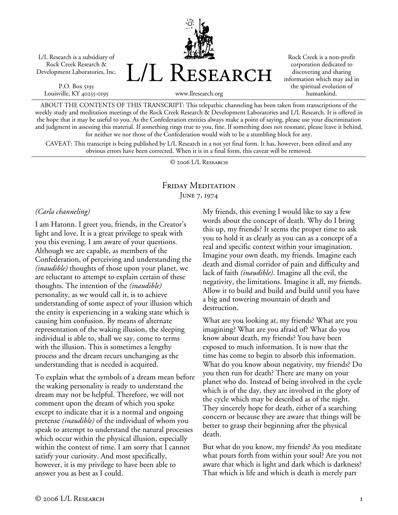L/L Research is a subsidiary of Rock Creek Research & Development Laboratories, Inc.

P.O. Box 5195 Louisville, KY 40255-0195 L/L Research

Rock Creek is a non-profit corporation dedicated to discovering and sharing information which may aid in the spiritual evolution of humankind.

www.llresearch.org

ABOUT THE CONTENTS OF THIS TRANSCRIPT: This telepathic channeling has been taken from transcriptions of the weekly study and meditation meetings of the Rock Creek Research & Development Laboratories and L/L Research. It is offered in the hope that it may be useful to you. As the Confederation entities always make a point of saying, please use your discrimination and judgment in assessing this material. If something rings true to you, fine. If something does not resonate, please leave it behind, for neither we nor those of the Confederation would wish to be a stumbling block for any.

CAVEAT: This transcript is being published by L/L Research in a not yet final form. It has, however, been edited and any obvious errors have been corrected. When it is in a final form, this caveat will be removed.

© 2006 L/L Research

## Friday Meditation June 7, 1974

## *(Carla channeling)*

I am Hatonn. I greet you, friends, in the Creator's light and love. It is a great privilege to speak with you this evening. I am aware of your questions. Although we are capable, as members of the Confederation, of perceiving and understanding the *(inaudible)* thoughts of those upon your planet, we are reluctant to attempt to explain certain of these thoughts. The intention of the *(inaudible)* personality, as we would call it, is to achieve understanding of some aspect of your illusion which the entity is experiencing in a waking state which is causing him confusion. By means of alternate representation of the waking illusion, the sleeping individual is able to, shall we say, come to terms with the illusion. This is sometimes a lengthy process and the dream recurs unchanging as the understanding that is needed is acquired.

To explain what the symbols of a dream mean before the waking personality is ready to understand the dream may not be helpful. Therefore, we will not comment upon the dream of which you spoke except to indicate that it is a normal and ongoing pretense *(inaudible)* of the individual of whom you speak to attempt to understand the natural processes which occur within the physical illusion, especially within the context of time. I am sorry that I cannot satisfy your curiosity. And most specifically, however, it is my privilege to have been able to answer you as best as I could.

My friends, this evening I would like to say a few words about the concept of death. Why do I bring this up, my friends? It seems the proper time to ask you to hold it as clearly as you can as a concept of a real and specific context within your imagination. Imagine your own death, my friends. Imagine each death and dismal corridor of pain and difficulty and lack of faith *(inaudible)*. Imagine all the evil, the negativity, the limitations. Imagine it all, my friends. Allow it to build and build and build until you have a big and towering mountain of death and destruction.

What are you looking at, my friends? What are you imagining? What are you afraid of? What do you know about death, my friends? You have been exposed to much information. It is now that the time has come to begin to absorb this information. What do you know about negativity, my friends? Do you then run for death? There are many on your planet who do. Instead of being involved in the cycle which is of the day, they are involved in the glory of the cycle which may be described as of the night. They sincerely hope for death, either of a searching concern or because they are aware that things will be better to grasp their beginning after the physical death.

But what do you know, my friends? As you meditate what pours forth from within your soul? Are you not aware that which is light and dark which is darkness? That which is life and which is death is merely part